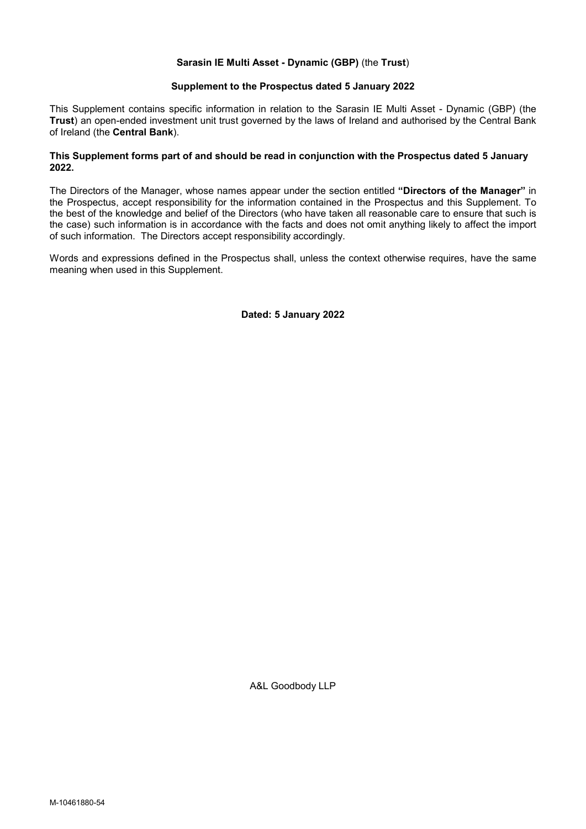# Sarasin IE Multi Asset - Dynamic (GBP) (the Trust)

## Supplement to the Prospectus dated 5 January 2022

This Supplement contains specific information in relation to the Sarasin IE Multi Asset - Dynamic (GBP) (the Trust) an open-ended investment unit trust governed by the laws of Ireland and authorised by the Central Bank of Ireland (the Central Bank).

# This Supplement forms part of and should be read in conjunction with the Prospectus dated 5 January 2022.

The Directors of the Manager, whose names appear under the section entitled "Directors of the Manager" in the Prospectus, accept responsibility for the information contained in the Prospectus and this Supplement. To the best of the knowledge and belief of the Directors (who have taken all reasonable care to ensure that such is the case) such information is in accordance with the facts and does not omit anything likely to affect the import of such information. The Directors accept responsibility accordingly.

Words and expressions defined in the Prospectus shall, unless the context otherwise requires, have the same meaning when used in this Supplement.

Dated: 5 January 2022

A&L Goodbody LLP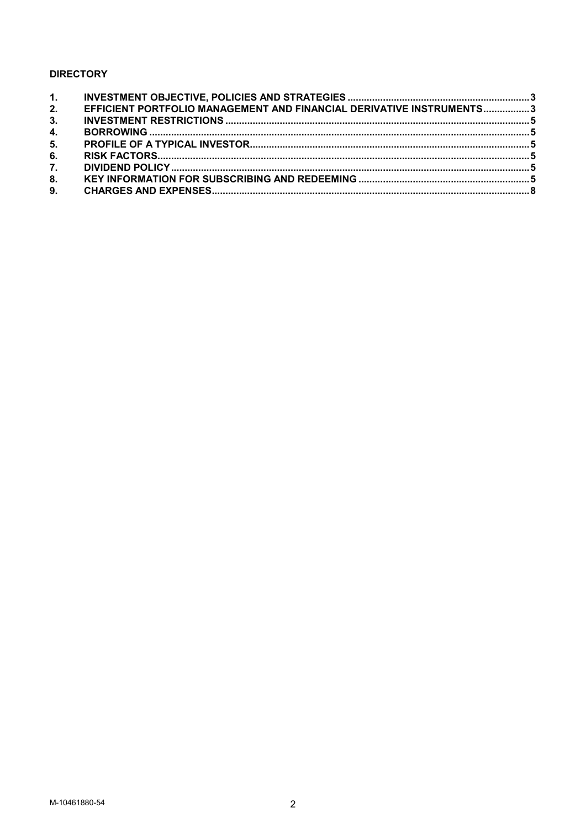# **DIRECTORY**

| 2. | EFFICIENT PORTFOLIO MANAGEMENT AND FINANCIAL DERIVATIVE INSTRUMENTS3 |  |
|----|----------------------------------------------------------------------|--|
| 3. |                                                                      |  |
| 4. |                                                                      |  |
| 5. |                                                                      |  |
| 6. |                                                                      |  |
| 7. |                                                                      |  |
| 8. |                                                                      |  |
|    |                                                                      |  |
|    |                                                                      |  |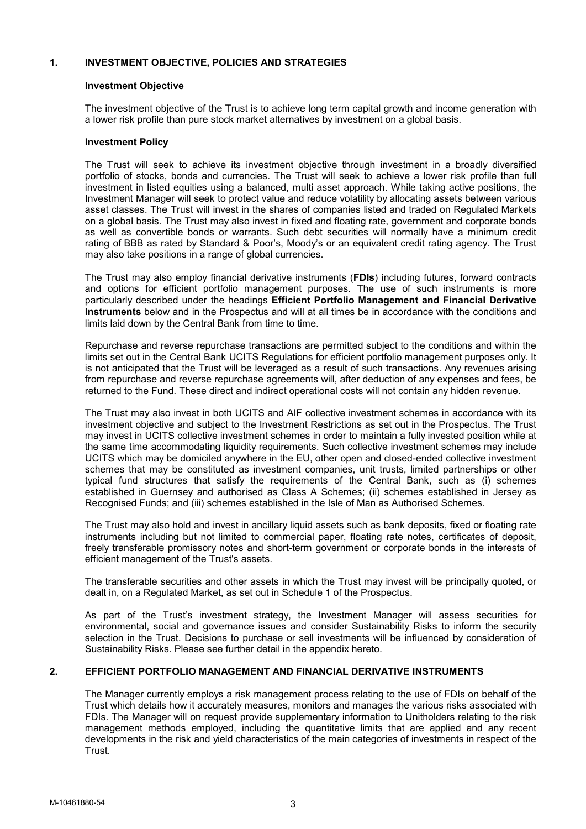# 1. INVESTMENT OBJECTIVE, POLICIES AND STRATEGIES

# Investment Objective

The investment objective of the Trust is to achieve long term capital growth and income generation with a lower risk profile than pure stock market alternatives by investment on a global basis.

# Investment Policy

The Trust will seek to achieve its investment objective through investment in a broadly diversified portfolio of stocks, bonds and currencies. The Trust will seek to achieve a lower risk profile than full investment in listed equities using a balanced, multi asset approach. While taking active positions, the Investment Manager will seek to protect value and reduce volatility by allocating assets between various asset classes. The Trust will invest in the shares of companies listed and traded on Regulated Markets on a global basis. The Trust may also invest in fixed and floating rate, government and corporate bonds as well as convertible bonds or warrants. Such debt securities will normally have a minimum credit rating of BBB as rated by Standard & Poor's, Moody's or an equivalent credit rating agency. The Trust may also take positions in a range of global currencies.

The Trust may also employ financial derivative instruments (FDIs) including futures, forward contracts and options for efficient portfolio management purposes. The use of such instruments is more particularly described under the headings Efficient Portfolio Management and Financial Derivative Instruments below and in the Prospectus and will at all times be in accordance with the conditions and limits laid down by the Central Bank from time to time.

Repurchase and reverse repurchase transactions are permitted subject to the conditions and within the limits set out in the Central Bank UCITS Regulations for efficient portfolio management purposes only. It is not anticipated that the Trust will be leveraged as a result of such transactions. Any revenues arising from repurchase and reverse repurchase agreements will, after deduction of any expenses and fees, be returned to the Fund. These direct and indirect operational costs will not contain any hidden revenue.

The Trust may also invest in both UCITS and AIF collective investment schemes in accordance with its investment objective and subject to the Investment Restrictions as set out in the Prospectus. The Trust may invest in UCITS collective investment schemes in order to maintain a fully invested position while at the same time accommodating liquidity requirements. Such collective investment schemes may include UCITS which may be domiciled anywhere in the EU, other open and closed-ended collective investment schemes that may be constituted as investment companies, unit trusts, limited partnerships or other typical fund structures that satisfy the requirements of the Central Bank, such as (i) schemes established in Guernsey and authorised as Class A Schemes; (ii) schemes established in Jersey as Recognised Funds; and (iii) schemes established in the Isle of Man as Authorised Schemes.

The Trust may also hold and invest in ancillary liquid assets such as bank deposits, fixed or floating rate instruments including but not limited to commercial paper, floating rate notes, certificates of deposit, freely transferable promissory notes and short-term government or corporate bonds in the interests of efficient management of the Trust's assets.

The transferable securities and other assets in which the Trust may invest will be principally quoted, or dealt in, on a Regulated Market, as set out in Schedule 1 of the Prospectus.

As part of the Trust's investment strategy, the Investment Manager will assess securities for environmental, social and governance issues and consider Sustainability Risks to inform the security selection in the Trust. Decisions to purchase or sell investments will be influenced by consideration of Sustainability Risks. Please see further detail in the appendix hereto.

# 2. EFFICIENT PORTFOLIO MANAGEMENT AND FINANCIAL DERIVATIVE INSTRUMENTS

The Manager currently employs a risk management process relating to the use of FDIs on behalf of the Trust which details how it accurately measures, monitors and manages the various risks associated with FDIs. The Manager will on request provide supplementary information to Unitholders relating to the risk management methods employed, including the quantitative limits that are applied and any recent developments in the risk and yield characteristics of the main categories of investments in respect of the Trust.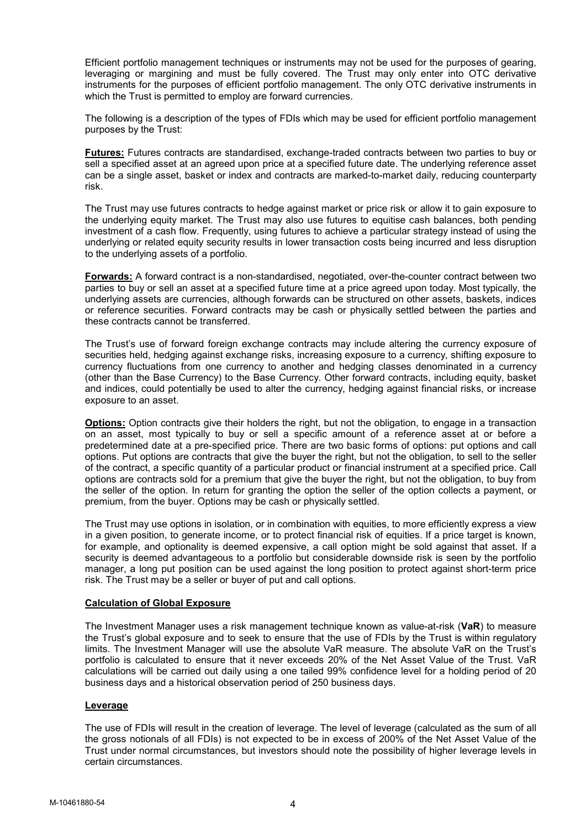Efficient portfolio management techniques or instruments may not be used for the purposes of gearing, leveraging or margining and must be fully covered. The Trust may only enter into OTC derivative instruments for the purposes of efficient portfolio management. The only OTC derivative instruments in which the Trust is permitted to employ are forward currencies.

The following is a description of the types of FDIs which may be used for efficient portfolio management purposes by the Trust:

Futures: Futures contracts are standardised, exchange-traded contracts between two parties to buy or sell a specified asset at an agreed upon price at a specified future date. The underlying reference asset can be a single asset, basket or index and contracts are marked-to-market daily, reducing counterparty risk.

The Trust may use futures contracts to hedge against market or price risk or allow it to gain exposure to the underlying equity market. The Trust may also use futures to equitise cash balances, both pending investment of a cash flow. Frequently, using futures to achieve a particular strategy instead of using the underlying or related equity security results in lower transaction costs being incurred and less disruption to the underlying assets of a portfolio.

Forwards: A forward contract is a non-standardised, negotiated, over-the-counter contract between two parties to buy or sell an asset at a specified future time at a price agreed upon today. Most typically, the underlying assets are currencies, although forwards can be structured on other assets, baskets, indices or reference securities. Forward contracts may be cash or physically settled between the parties and these contracts cannot be transferred.

The Trust's use of forward foreign exchange contracts may include altering the currency exposure of securities held, hedging against exchange risks, increasing exposure to a currency, shifting exposure to currency fluctuations from one currency to another and hedging classes denominated in a currency (other than the Base Currency) to the Base Currency. Other forward contracts, including equity, basket and indices, could potentially be used to alter the currency, hedging against financial risks, or increase exposure to an asset.

Options: Option contracts give their holders the right, but not the obligation, to engage in a transaction on an asset, most typically to buy or sell a specific amount of a reference asset at or before a predetermined date at a pre-specified price. There are two basic forms of options: put options and call options. Put options are contracts that give the buyer the right, but not the obligation, to sell to the seller of the contract, a specific quantity of a particular product or financial instrument at a specified price. Call options are contracts sold for a premium that give the buyer the right, but not the obligation, to buy from the seller of the option. In return for granting the option the seller of the option collects a payment, or premium, from the buyer. Options may be cash or physically settled.

The Trust may use options in isolation, or in combination with equities, to more efficiently express a view in a given position, to generate income, or to protect financial risk of equities. If a price target is known, for example, and optionality is deemed expensive, a call option might be sold against that asset. If a security is deemed advantageous to a portfolio but considerable downside risk is seen by the portfolio manager, a long put position can be used against the long position to protect against short-term price risk. The Trust may be a seller or buyer of put and call options.

# Calculation of Global Exposure

The Investment Manager uses a risk management technique known as value-at-risk (VaR) to measure the Trust's global exposure and to seek to ensure that the use of FDIs by the Trust is within regulatory limits. The Investment Manager will use the absolute VaR measure. The absolute VaR on the Trust's portfolio is calculated to ensure that it never exceeds 20% of the Net Asset Value of the Trust. VaR calculations will be carried out daily using a one tailed 99% confidence level for a holding period of 20 business days and a historical observation period of 250 business days.

## Leverage

The use of FDIs will result in the creation of leverage. The level of leverage (calculated as the sum of all the gross notionals of all FDIs) is not expected to be in excess of 200% of the Net Asset Value of the Trust under normal circumstances, but investors should note the possibility of higher leverage levels in certain circumstances.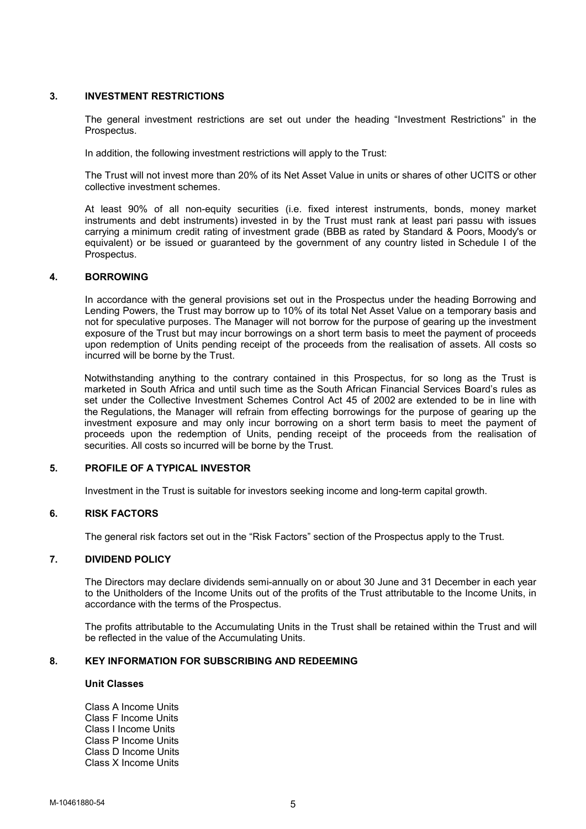# 3. INVESTMENT RESTRICTIONS

The general investment restrictions are set out under the heading "Investment Restrictions" in the Prospectus.

In addition, the following investment restrictions will apply to the Trust:

The Trust will not invest more than 20% of its Net Asset Value in units or shares of other UCITS or other collective investment schemes.

At least 90% of all non-equity securities (i.e. fixed interest instruments, bonds, money market instruments and debt instruments) invested in by the Trust must rank at least pari passu with issues carrying a minimum credit rating of investment grade (BBB as rated by Standard & Poors, Moody's or equivalent) or be issued or guaranteed by the government of any country listed in Schedule I of the Prospectus.

# 4. BORROWING

In accordance with the general provisions set out in the Prospectus under the heading Borrowing and Lending Powers, the Trust may borrow up to 10% of its total Net Asset Value on a temporary basis and not for speculative purposes. The Manager will not borrow for the purpose of gearing up the investment exposure of the Trust but may incur borrowings on a short term basis to meet the payment of proceeds upon redemption of Units pending receipt of the proceeds from the realisation of assets. All costs so incurred will be borne by the Trust.

Notwithstanding anything to the contrary contained in this Prospectus, for so long as the Trust is marketed in South Africa and until such time as the South African Financial Services Board's rules as set under the Collective Investment Schemes Control Act 45 of 2002 are extended to be in line with the Regulations, the Manager will refrain from effecting borrowings for the purpose of gearing up the investment exposure and may only incur borrowing on a short term basis to meet the payment of proceeds upon the redemption of Units, pending receipt of the proceeds from the realisation of securities. All costs so incurred will be borne by the Trust.

# 5. PROFILE OF A TYPICAL INVESTOR

Investment in the Trust is suitable for investors seeking income and long-term capital growth.

# 6. RISK FACTORS

The general risk factors set out in the "Risk Factors" section of the Prospectus apply to the Trust.

# 7. DIVIDEND POLICY

The Directors may declare dividends semi-annually on or about 30 June and 31 December in each year to the Unitholders of the Income Units out of the profits of the Trust attributable to the Income Units, in accordance with the terms of the Prospectus.

The profits attributable to the Accumulating Units in the Trust shall be retained within the Trust and will be reflected in the value of the Accumulating Units.

## 8. KEY INFORMATION FOR SUBSCRIBING AND REDEEMING

# Unit Classes

Class A Income Units Class F Income Units Class I Income Units Class P Income Units Class D Income Units Class X Income Units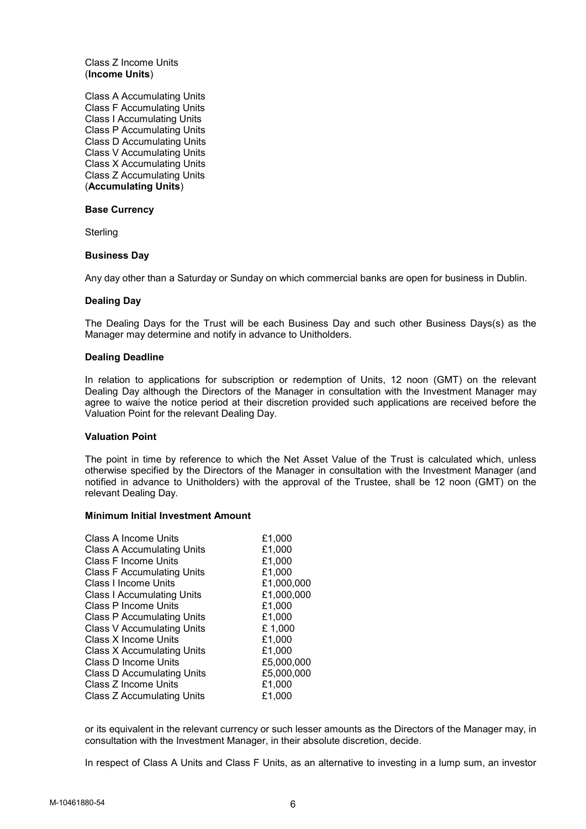Class Z Income Units (Income Units)

Class A Accumulating Units Class F Accumulating Units Class I Accumulating Units Class P Accumulating Units Class D Accumulating Units Class V Accumulating Units Class X Accumulating Units Class Z Accumulating Units (Accumulating Units)

#### Base Currency

**Sterling** 

#### Business Day

Any day other than a Saturday or Sunday on which commercial banks are open for business in Dublin.

#### Dealing Day

The Dealing Days for the Trust will be each Business Day and such other Business Days(s) as the Manager may determine and notify in advance to Unitholders.

#### Dealing Deadline

In relation to applications for subscription or redemption of Units, 12 noon (GMT) on the relevant Dealing Day although the Directors of the Manager in consultation with the Investment Manager may agree to waive the notice period at their discretion provided such applications are received before the Valuation Point for the relevant Dealing Day.

## Valuation Point

The point in time by reference to which the Net Asset Value of the Trust is calculated which, unless otherwise specified by the Directors of the Manager in consultation with the Investment Manager (and notified in advance to Unitholders) with the approval of the Trustee, shall be 12 noon (GMT) on the relevant Dealing Day.

## Minimum Initial Investment Amount

| £1,000     |
|------------|
| £1,000     |
| £1,000     |
| £1,000     |
| £1,000,000 |
| £1,000,000 |
| £1,000     |
| £1,000     |
| £1,000     |
| £1,000     |
| £1,000     |
| £5,000,000 |
| £5,000,000 |
| £1,000     |
| £1.000     |
|            |

or its equivalent in the relevant currency or such lesser amounts as the Directors of the Manager may, in consultation with the Investment Manager, in their absolute discretion, decide.

In respect of Class A Units and Class F Units, as an alternative to investing in a lump sum, an investor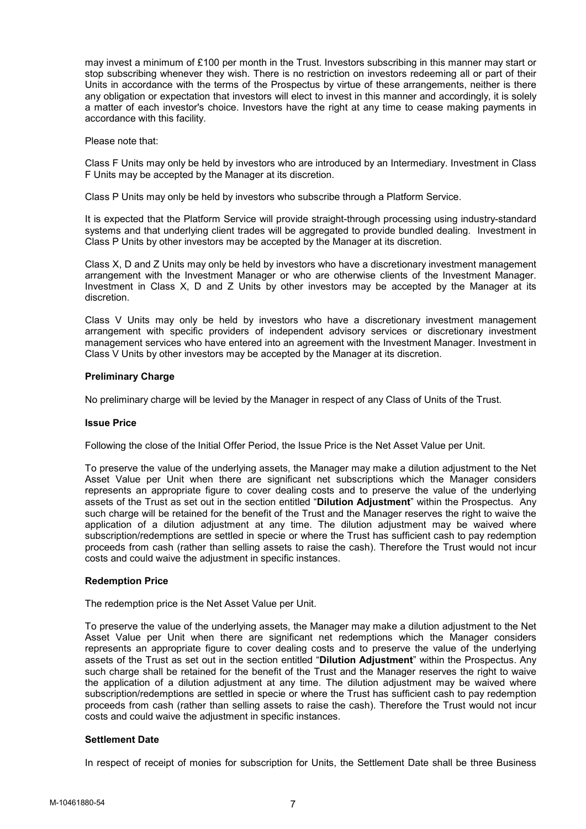may invest a minimum of £100 per month in the Trust. Investors subscribing in this manner may start or stop subscribing whenever they wish. There is no restriction on investors redeeming all or part of their Units in accordance with the terms of the Prospectus by virtue of these arrangements, neither is there any obligation or expectation that investors will elect to invest in this manner and accordingly, it is solely a matter of each investor's choice. Investors have the right at any time to cease making payments in accordance with this facility.

Please note that:

Class F Units may only be held by investors who are introduced by an Intermediary. Investment in Class F Units may be accepted by the Manager at its discretion.

Class P Units may only be held by investors who subscribe through a Platform Service.

It is expected that the Platform Service will provide straight-through processing using industry-standard systems and that underlying client trades will be aggregated to provide bundled dealing. Investment in Class P Units by other investors may be accepted by the Manager at its discretion.

Class X, D and Z Units may only be held by investors who have a discretionary investment management arrangement with the Investment Manager or who are otherwise clients of the Investment Manager. Investment in Class X, D and Z Units by other investors may be accepted by the Manager at its discretion.

Class V Units may only be held by investors who have a discretionary investment management arrangement with specific providers of independent advisory services or discretionary investment management services who have entered into an agreement with the Investment Manager. Investment in Class V Units by other investors may be accepted by the Manager at its discretion.

## Preliminary Charge

No preliminary charge will be levied by the Manager in respect of any Class of Units of the Trust.

## Issue Price

Following the close of the Initial Offer Period, the Issue Price is the Net Asset Value per Unit.

To preserve the value of the underlying assets, the Manager may make a dilution adjustment to the Net Asset Value per Unit when there are significant net subscriptions which the Manager considers represents an appropriate figure to cover dealing costs and to preserve the value of the underlying assets of the Trust as set out in the section entitled "Dilution Adjustment" within the Prospectus. Any such charge will be retained for the benefit of the Trust and the Manager reserves the right to waive the application of a dilution adjustment at any time. The dilution adjustment may be waived where subscription/redemptions are settled in specie or where the Trust has sufficient cash to pay redemption proceeds from cash (rather than selling assets to raise the cash). Therefore the Trust would not incur costs and could waive the adjustment in specific instances.

## Redemption Price

The redemption price is the Net Asset Value per Unit.

To preserve the value of the underlying assets, the Manager may make a dilution adjustment to the Net Asset Value per Unit when there are significant net redemptions which the Manager considers represents an appropriate figure to cover dealing costs and to preserve the value of the underlying assets of the Trust as set out in the section entitled "Dilution Adjustment" within the Prospectus. Any such charge shall be retained for the benefit of the Trust and the Manager reserves the right to waive the application of a dilution adjustment at any time. The dilution adjustment may be waived where subscription/redemptions are settled in specie or where the Trust has sufficient cash to pay redemption proceeds from cash (rather than selling assets to raise the cash). Therefore the Trust would not incur costs and could waive the adjustment in specific instances.

## Settlement Date

In respect of receipt of monies for subscription for Units, the Settlement Date shall be three Business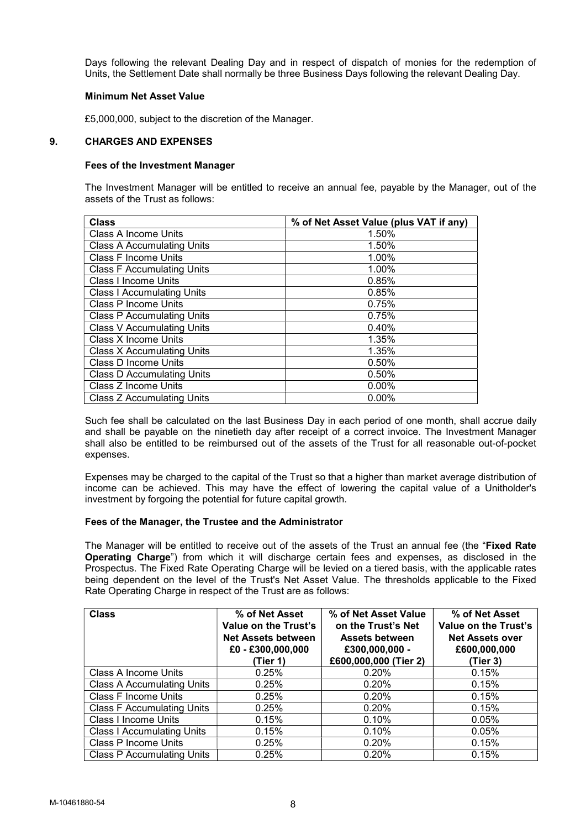Days following the relevant Dealing Day and in respect of dispatch of monies for the redemption of Units, the Settlement Date shall normally be three Business Days following the relevant Dealing Day.

# Minimum Net Asset Value

£5,000,000, subject to the discretion of the Manager.

# 9. CHARGES AND EXPENSES

# Fees of the Investment Manager

 The Investment Manager will be entitled to receive an annual fee, payable by the Manager, out of the assets of the Trust as follows:

| <b>Class</b>                      | % of Net Asset Value (plus VAT if any) |
|-----------------------------------|----------------------------------------|
| <b>Class A Income Units</b>       | 1.50%                                  |
| <b>Class A Accumulating Units</b> | 1.50%                                  |
| <b>Class F Income Units</b>       | 1.00%                                  |
| <b>Class F Accumulating Units</b> | 1.00%                                  |
| <b>Class I Income Units</b>       | 0.85%                                  |
| <b>Class I Accumulating Units</b> | 0.85%                                  |
| Class P Income Units              | 0.75%                                  |
| <b>Class P Accumulating Units</b> | 0.75%                                  |
| <b>Class V Accumulating Units</b> | 0.40%                                  |
| Class X Income Units              | 1.35%                                  |
| <b>Class X Accumulating Units</b> | 1.35%                                  |
| <b>Class D Income Units</b>       | 0.50%                                  |
| <b>Class D Accumulating Units</b> | 0.50%                                  |
| Class Z Income Units              | $0.00\%$                               |
| <b>Class Z Accumulating Units</b> | $0.00\%$                               |

Such fee shall be calculated on the last Business Day in each period of one month, shall accrue daily and shall be payable on the ninetieth day after receipt of a correct invoice. The Investment Manager shall also be entitled to be reimbursed out of the assets of the Trust for all reasonable out-of-pocket expenses.

Expenses may be charged to the capital of the Trust so that a higher than market average distribution of income can be achieved. This may have the effect of lowering the capital value of a Unitholder's investment by forgoing the potential for future capital growth.

## Fees of the Manager, the Trustee and the Administrator

The Manager will be entitled to receive out of the assets of the Trust an annual fee (the "Fixed Rate Operating Charge") from which it will discharge certain fees and expenses, as disclosed in the Prospectus. The Fixed Rate Operating Charge will be levied on a tiered basis, with the applicable rates being dependent on the level of the Trust's Net Asset Value. The thresholds applicable to the Fixed Rate Operating Charge in respect of the Trust are as follows:

| <b>Class</b>                      | % of Net Asset<br>Value on the Trust's<br><b>Net Assets between</b><br>$£0 - £300,000,000$<br>(Tier 1) | % of Net Asset Value<br>on the Trust's Net<br><b>Assets between</b><br>£300,000,000 -<br>£600,000,000 (Tier 2) | % of Net Asset<br>Value on the Trust's<br><b>Net Assets over</b><br>£600,000,000<br>(Tier 3) |
|-----------------------------------|--------------------------------------------------------------------------------------------------------|----------------------------------------------------------------------------------------------------------------|----------------------------------------------------------------------------------------------|
| Class A Income Units              | 0.25%                                                                                                  | 0.20%                                                                                                          | 0.15%                                                                                        |
| <b>Class A Accumulating Units</b> | 0.25%                                                                                                  | 0.20%                                                                                                          | 0.15%                                                                                        |
| <b>Class F Income Units</b>       | 0.25%                                                                                                  | 0.20%                                                                                                          | 0.15%                                                                                        |
| <b>Class F Accumulating Units</b> | 0.25%                                                                                                  | 0.20%                                                                                                          | 0.15%                                                                                        |
| Class I Income Units              | 0.15%                                                                                                  | 0.10%                                                                                                          | 0.05%                                                                                        |
| <b>Class I Accumulating Units</b> | 0.15%                                                                                                  | 0.10%                                                                                                          | 0.05%                                                                                        |
| Class P Income Units              | 0.25%                                                                                                  | 0.20%                                                                                                          | 0.15%                                                                                        |
| <b>Class P Accumulating Units</b> | 0.25%                                                                                                  | 0.20%                                                                                                          | 0.15%                                                                                        |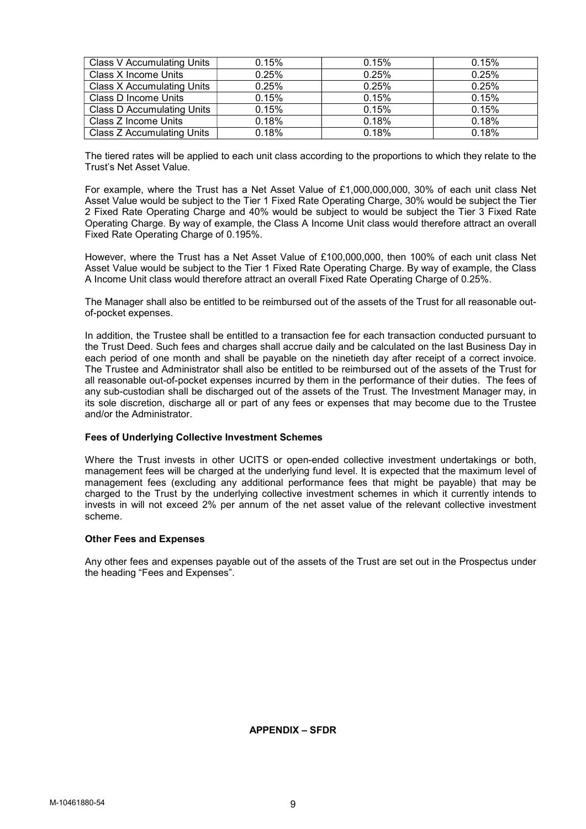| <b>Class V Accumulating Units</b> | 0.15% | 0.15% | 0.15% |
|-----------------------------------|-------|-------|-------|
| Class X Income Units              | 0.25% | 0.25% | 0.25% |
| <b>Class X Accumulating Units</b> | 0.25% | 0.25% | 0.25% |
| Class D Income Units              | 0.15% | 0.15% | 0.15% |
| <b>Class D Accumulating Units</b> | 0.15% | 0.15% | 0.15% |
| Class Z Income Units              | 0.18% | 0.18% | 0.18% |
| <b>Class Z Accumulating Units</b> | 0.18% | 0.18% | 0.18% |

The tiered rates will be applied to each unit class according to the proportions to which they relate to the Trust's Net Asset Value.

For example, where the Trust has a Net Asset Value of £1,000,000,000, 30% of each unit class Net Asset Value would be subject to the Tier 1 Fixed Rate Operating Charge, 30% would be subject the Tier 2 Fixed Rate Operating Charge and 40% would be subject to would be subject the Tier 3 Fixed Rate Operating Charge. By way of example, the Class A Income Unit class would therefore attract an overall Fixed Rate Operating Charge of 0.195%.

However, where the Trust has a Net Asset Value of £100,000,000, then 100% of each unit class Net Asset Value would be subject to the Tier 1 Fixed Rate Operating Charge. By way of example, the Class A Income Unit class would therefore attract an overall Fixed Rate Operating Charge of 0.25%.

The Manager shall also be entitled to be reimbursed out of the assets of the Trust for all reasonable outof-pocket expenses.

In addition, the Trustee shall be entitled to a transaction fee for each transaction conducted pursuant to the Trust Deed. Such fees and charges shall accrue daily and be calculated on the last Business Day in each period of one month and shall be payable on the ninetieth day after receipt of a correct invoice. The Trustee and Administrator shall also be entitled to be reimbursed out of the assets of the Trust for all reasonable out-of-pocket expenses incurred by them in the performance of their duties. The fees of any sub-custodian shall be discharged out of the assets of the Trust. The Investment Manager may, in its sole discretion, discharge all or part of any fees or expenses that may become due to the Trustee and/or the Administrator.

## Fees of Underlying Collective Investment Schemes

Where the Trust invests in other UCITS or open-ended collective investment undertakings or both, management fees will be charged at the underlying fund level. It is expected that the maximum level of management fees (excluding any additional performance fees that might be payable) that may be charged to the Trust by the underlying collective investment schemes in which it currently intends to invests in will not exceed 2% per annum of the net asset value of the relevant collective investment scheme.

## Other Fees and Expenses

Any other fees and expenses payable out of the assets of the Trust are set out in the Prospectus under the heading "Fees and Expenses".

APPENDIX – SFDR